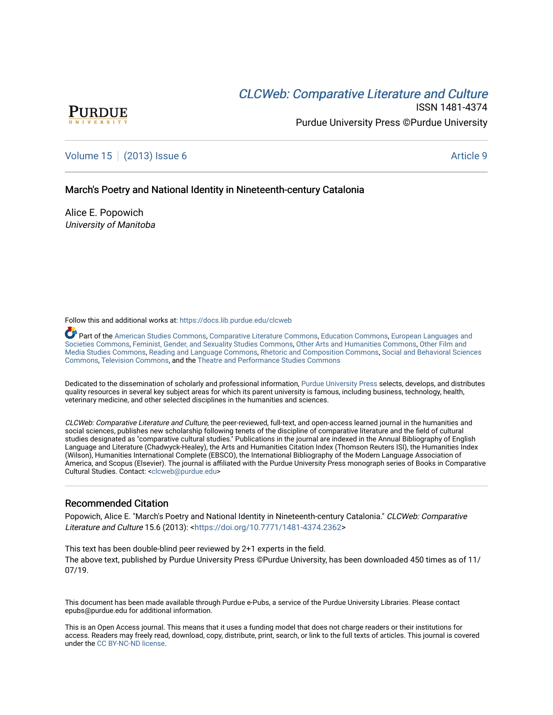# CLCW[eb: Comparative Liter](https://docs.lib.purdue.edu/clcweb)ature and Culture



ISSN 1481-4374 Purdue University Press ©Purdue University

## [Volume 15](https://docs.lib.purdue.edu/clcweb/vol15) | [\(2013\) Issue 6](https://docs.lib.purdue.edu/clcweb/vol15/iss6) Article 9

### March's Poetry and National Identity in Nineteenth-century Catalonia

Alice E. Popowich University of Manitoba

Follow this and additional works at: [https://docs.lib.purdue.edu/clcweb](https://docs.lib.purdue.edu/clcweb?utm_source=docs.lib.purdue.edu%2Fclcweb%2Fvol15%2Fiss6%2F9&utm_medium=PDF&utm_campaign=PDFCoverPages)

Part of the [American Studies Commons](http://network.bepress.com/hgg/discipline/439?utm_source=docs.lib.purdue.edu%2Fclcweb%2Fvol15%2Fiss6%2F9&utm_medium=PDF&utm_campaign=PDFCoverPages), [Comparative Literature Commons,](http://network.bepress.com/hgg/discipline/454?utm_source=docs.lib.purdue.edu%2Fclcweb%2Fvol15%2Fiss6%2F9&utm_medium=PDF&utm_campaign=PDFCoverPages) [Education Commons,](http://network.bepress.com/hgg/discipline/784?utm_source=docs.lib.purdue.edu%2Fclcweb%2Fvol15%2Fiss6%2F9&utm_medium=PDF&utm_campaign=PDFCoverPages) [European Languages and](http://network.bepress.com/hgg/discipline/482?utm_source=docs.lib.purdue.edu%2Fclcweb%2Fvol15%2Fiss6%2F9&utm_medium=PDF&utm_campaign=PDFCoverPages) [Societies Commons](http://network.bepress.com/hgg/discipline/482?utm_source=docs.lib.purdue.edu%2Fclcweb%2Fvol15%2Fiss6%2F9&utm_medium=PDF&utm_campaign=PDFCoverPages), [Feminist, Gender, and Sexuality Studies Commons,](http://network.bepress.com/hgg/discipline/559?utm_source=docs.lib.purdue.edu%2Fclcweb%2Fvol15%2Fiss6%2F9&utm_medium=PDF&utm_campaign=PDFCoverPages) [Other Arts and Humanities Commons](http://network.bepress.com/hgg/discipline/577?utm_source=docs.lib.purdue.edu%2Fclcweb%2Fvol15%2Fiss6%2F9&utm_medium=PDF&utm_campaign=PDFCoverPages), [Other Film and](http://network.bepress.com/hgg/discipline/565?utm_source=docs.lib.purdue.edu%2Fclcweb%2Fvol15%2Fiss6%2F9&utm_medium=PDF&utm_campaign=PDFCoverPages)  [Media Studies Commons](http://network.bepress.com/hgg/discipline/565?utm_source=docs.lib.purdue.edu%2Fclcweb%2Fvol15%2Fiss6%2F9&utm_medium=PDF&utm_campaign=PDFCoverPages), [Reading and Language Commons](http://network.bepress.com/hgg/discipline/1037?utm_source=docs.lib.purdue.edu%2Fclcweb%2Fvol15%2Fiss6%2F9&utm_medium=PDF&utm_campaign=PDFCoverPages), [Rhetoric and Composition Commons,](http://network.bepress.com/hgg/discipline/573?utm_source=docs.lib.purdue.edu%2Fclcweb%2Fvol15%2Fiss6%2F9&utm_medium=PDF&utm_campaign=PDFCoverPages) [Social and Behavioral Sciences](http://network.bepress.com/hgg/discipline/316?utm_source=docs.lib.purdue.edu%2Fclcweb%2Fvol15%2Fiss6%2F9&utm_medium=PDF&utm_campaign=PDFCoverPages) [Commons,](http://network.bepress.com/hgg/discipline/316?utm_source=docs.lib.purdue.edu%2Fclcweb%2Fvol15%2Fiss6%2F9&utm_medium=PDF&utm_campaign=PDFCoverPages) [Television Commons,](http://network.bepress.com/hgg/discipline/1143?utm_source=docs.lib.purdue.edu%2Fclcweb%2Fvol15%2Fiss6%2F9&utm_medium=PDF&utm_campaign=PDFCoverPages) and the [Theatre and Performance Studies Commons](http://network.bepress.com/hgg/discipline/552?utm_source=docs.lib.purdue.edu%2Fclcweb%2Fvol15%2Fiss6%2F9&utm_medium=PDF&utm_campaign=PDFCoverPages)

Dedicated to the dissemination of scholarly and professional information, [Purdue University Press](http://www.thepress.purdue.edu/) selects, develops, and distributes quality resources in several key subject areas for which its parent university is famous, including business, technology, health, veterinary medicine, and other selected disciplines in the humanities and sciences.

CLCWeb: Comparative Literature and Culture, the peer-reviewed, full-text, and open-access learned journal in the humanities and social sciences, publishes new scholarship following tenets of the discipline of comparative literature and the field of cultural studies designated as "comparative cultural studies." Publications in the journal are indexed in the Annual Bibliography of English Language and Literature (Chadwyck-Healey), the Arts and Humanities Citation Index (Thomson Reuters ISI), the Humanities Index (Wilson), Humanities International Complete (EBSCO), the International Bibliography of the Modern Language Association of America, and Scopus (Elsevier). The journal is affiliated with the Purdue University Press monograph series of Books in Comparative Cultural Studies. Contact: [<clcweb@purdue.edu](mailto:clcweb@purdue.edu)>

### Recommended Citation

Popowich, Alice E. "March's Poetry and National Identity in Nineteenth-century Catalonia." CLCWeb: Comparative Literature and Culture 15.6 (2013): <<https://doi.org/10.7771/1481-4374.2362>>

This text has been double-blind peer reviewed by 2+1 experts in the field. The above text, published by Purdue University Press ©Purdue University, has been downloaded 450 times as of 11/ 07/19.

This document has been made available through Purdue e-Pubs, a service of the Purdue University Libraries. Please contact epubs@purdue.edu for additional information.

This is an Open Access journal. This means that it uses a funding model that does not charge readers or their institutions for access. Readers may freely read, download, copy, distribute, print, search, or link to the full texts of articles. This journal is covered under the [CC BY-NC-ND license.](https://creativecommons.org/licenses/by-nc-nd/4.0/)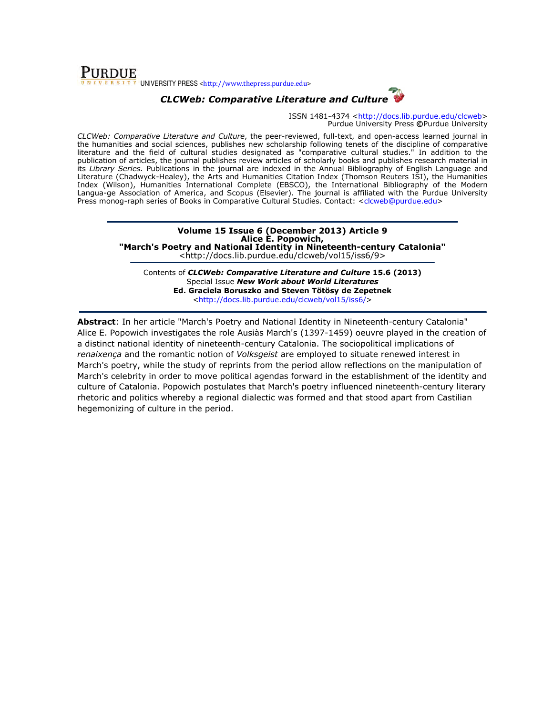

# CLCWeb: Comparative Literature and Culture

ISSN 1481-4374 <http://docs.lib.purdue.edu/clcweb> Purdue University Press ©Purdue University

CLCWeb: Comparative Literature and Culture, the peer-reviewed, full-text, and open-access learned journal in the humanities and social sciences, publishes new scholarship following tenets of the discipline of comparative literature and the field of cultural studies designated as "comparative cultural studies." In addition to the publication of articles, the journal publishes review articles of scholarly books and publishes research material in its Library Series. Publications in the journal are indexed in the Annual Bibliography of English Language and Literature (Chadwyck-Healey), the Arts and Humanities Citation Index (Thomson Reuters ISI), the Humanities Index (Wilson), Humanities International Complete (EBSCO), the International Bibliography of the Modern Langua-ge Association of America, and Scopus (Elsevier). The journal is affiliated with the Purdue University Press monog-raph series of Books in Comparative Cultural Studies. Contact: <clcweb@purdue.edu>

#### Volume 15 Issue 6 (December 2013) Article 9 Alice E. Popowich, "March's Poetry and National Identity in Nineteenth-century Catalonia" <http://docs.lib.purdue.edu/clcweb/vol15/iss6/9>

Contents of CLCWeb: Comparative Literature and Culture 15.6 (2013) Special Issue New Work about World Literatures Ed. Graciela Boruszko and Steven Tötösy de Zepetnek <http://docs.lib.purdue.edu/clcweb/vol15/iss6/>

Abstract: In her article "March's Poetry and National Identity in Nineteenth-century Catalonia" Alice E. Popowich investigates the role Ausiàs March's (1397-1459) oeuvre played in the creation of a distinct national identity of nineteenth-century Catalonia. The sociopolitical implications of renaixença and the romantic notion of Volksgeist are employed to situate renewed interest in March's poetry, while the study of reprints from the period allow reflections on the manipulation of March's celebrity in order to move political agendas forward in the establishment of the identity and culture of Catalonia. Popowich postulates that March's poetry influenced nineteenth-century literary rhetoric and politics whereby a regional dialectic was formed and that stood apart from Castilian hegemonizing of culture in the period.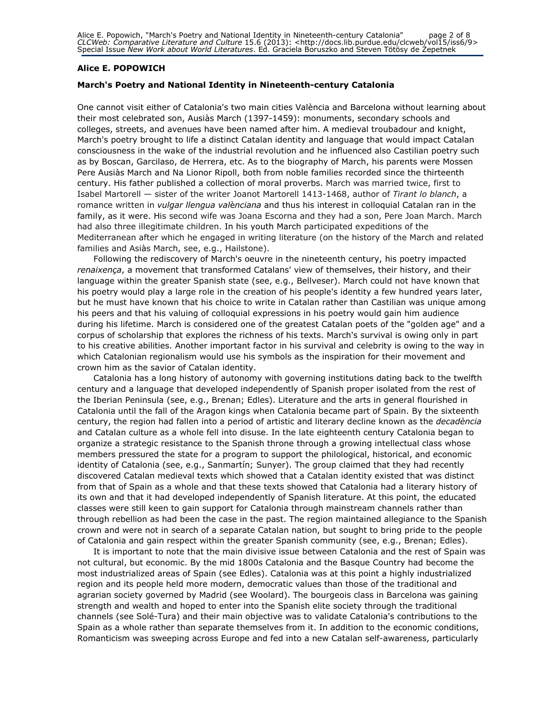### Alice E. POPOWICH

### March's Poetry and National Identity in Nineteenth-century Catalonia

One cannot visit either of Catalonia's two main cities València and Barcelona without learning about their most celebrated son, Ausiàs March (1397-1459): monuments, secondary schools and colleges, streets, and avenues have been named after him. A medieval troubadour and knight, March's poetry brought to life a distinct Catalan identity and language that would impact Catalan consciousness in the wake of the industrial revolution and he influenced also Castilian poetry such as by Boscan, Garcilaso, de Herrera, etc. As to the biography of March, his parents were Mossen Pere Ausiàs March and Na Lionor Ripoll, both from noble families recorded since the thirteenth century. His father published a collection of moral proverbs. March was married twice, first to Isabel Martorell - sister of the writer Joanot Martorell 1413-1468, author of Tirant lo blanch, a romance written in *vulgar llengua valènciana* and thus his interest in colloquial Catalan ran in the family, as it were. His second wife was Joana Escorna and they had a son, Pere Joan March. March had also three illegitimate children. In his youth March participated expeditions of the Mediterranean after which he engaged in writing literature (on the history of the March and related families and Asiàs March, see, e.g., Hailstone).

Following the rediscovery of March's oeuvre in the nineteenth century, his poetry impacted renaixença, a movement that transformed Catalans' view of themselves, their history, and their language within the greater Spanish state (see, e.g., Bellveser). March could not have known that his poetry would play a large role in the creation of his people's identity a few hundred years later, but he must have known that his choice to write in Catalan rather than Castilian was unique among his peers and that his valuing of colloquial expressions in his poetry would gain him audience during his lifetime. March is considered one of the greatest Catalan poets of the "golden age" and a corpus of scholarship that explores the richness of his texts. March's survival is owing only in part to his creative abilities. Another important factor in his survival and celebrity is owing to the way in which Catalonian regionalism would use his symbols as the inspiration for their movement and crown him as the savior of Catalan identity.

Catalonia has a long history of autonomy with governing institutions dating back to the twelfth century and a language that developed independently of Spanish proper isolated from the rest of the Iberian Peninsula (see, e.g., Brenan; Edles). Literature and the arts in general flourished in Catalonia until the fall of the Aragon kings when Catalonia became part of Spain. By the sixteenth century, the region had fallen into a period of artistic and literary decline known as the *decadència* and Catalan culture as a whole fell into disuse. In the late eighteenth century Catalonia began to organize a strategic resistance to the Spanish throne through a growing intellectual class whose members pressured the state for a program to support the philological, historical, and economic identity of Catalonia (see, e.g., Sanmartín; Sunyer). The group claimed that they had recently discovered Catalan medieval texts which showed that a Catalan identity existed that was distinct from that of Spain as a whole and that these texts showed that Catalonia had a literary history of its own and that it had developed independently of Spanish literature. At this point, the educated classes were still keen to gain support for Catalonia through mainstream channels rather than through rebellion as had been the case in the past. The region maintained allegiance to the Spanish crown and were not in search of a separate Catalan nation, but sought to bring pride to the people of Catalonia and gain respect within the greater Spanish community (see, e.g., Brenan; Edles).

It is important to note that the main divisive issue between Catalonia and the rest of Spain was not cultural, but economic. By the mid 1800s Catalonia and the Basque Country had become the most industrialized areas of Spain (see Edles). Catalonia was at this point a highly industrialized region and its people held more modern, democratic values than those of the traditional and agrarian society governed by Madrid (see Woolard). The bourgeois class in Barcelona was gaining strength and wealth and hoped to enter into the Spanish elite society through the traditional channels (see Solé-Tura) and their main objective was to validate Catalonia's contributions to the Spain as a whole rather than separate themselves from it. In addition to the economic conditions, Romanticism was sweeping across Europe and fed into a new Catalan self-awareness, particularly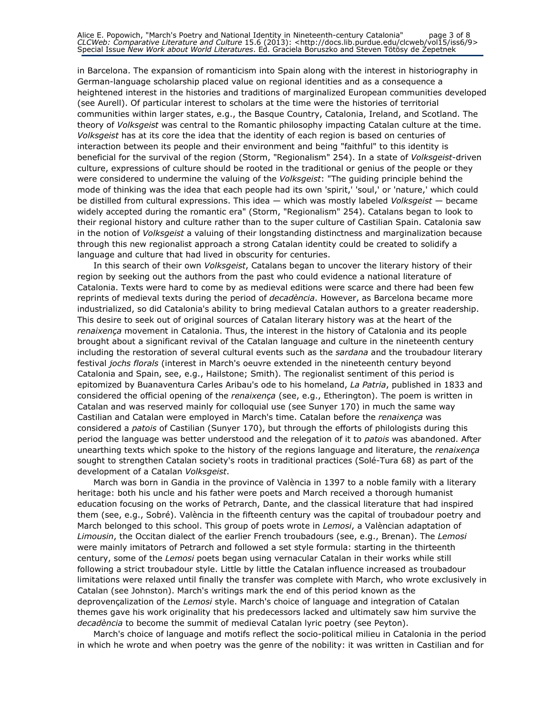Alice E. Popowich, "March's Poetry and National Identity in Nineteenth-century Catalonia" page 3 of 8 CLCWeb: Comparative Literature and Culture 15.6 (2013): <http://docs.lib.purdue.edu/clcweb/vol15/iss6/9> Special Issue New Work about World Literatures. Ed. Graciela Boruszko and Steven Tötösy de Zepetnek

in Barcelona. The expansion of romanticism into Spain along with the interest in historiography in German-language scholarship placed value on regional identities and as a consequence a heightened interest in the histories and traditions of marginalized European communities developed (see Aurell). Of particular interest to scholars at the time were the histories of territorial communities within larger states, e.g., the Basque Country, Catalonia, Ireland, and Scotland. The theory of Volksgeist was central to the Romantic philosophy impacting Catalan culture at the time. Volksgeist has at its core the idea that the identity of each region is based on centuries of interaction between its people and their environment and being "faithful" to this identity is beneficial for the survival of the region (Storm, "Regionalism" 254). In a state of Volksgeist-driven culture, expressions of culture should be rooted in the traditional or genius of the people or they were considered to undermine the valuing of the Volksgeist: "The guiding principle behind the mode of thinking was the idea that each people had its own 'spirit,' 'soul,' or 'nature,' which could be distilled from cultural expressions. This idea — which was mostly labeled Volksgeist — became widely accepted during the romantic era" (Storm, "Regionalism" 254). Catalans began to look to their regional history and culture rather than to the super culture of Castilian Spain. Catalonia saw in the notion of *Volksgeist* a valuing of their longstanding distinctness and marginalization because through this new regionalist approach a strong Catalan identity could be created to solidify a language and culture that had lived in obscurity for centuries.

In this search of their own Volksgeist, Catalans began to uncover the literary history of their region by seeking out the authors from the past who could evidence a national literature of Catalonia. Texts were hard to come by as medieval editions were scarce and there had been few reprints of medieval texts during the period of decadència. However, as Barcelona became more industrialized, so did Catalonia's ability to bring medieval Catalan authors to a greater readership. This desire to seek out of original sources of Catalan literary history was at the heart of the renaixença movement in Catalonia. Thus, the interest in the history of Catalonia and its people brought about a significant revival of the Catalan language and culture in the nineteenth century including the restoration of several cultural events such as the sardana and the troubadour literary festival *jochs florals* (interest in March's oeuvre extended in the nineteenth century beyond Catalonia and Spain, see, e.g., Hailstone; Smith). The regionalist sentiment of this period is epitomized by Buanaventura Carles Aribau's ode to his homeland, La Patria, published in 1833 and considered the official opening of the renaixença (see, e.g., Etherington). The poem is written in Catalan and was reserved mainly for colloquial use (see Sunyer 170) in much the same way Castilian and Catalan were employed in March's time. Catalan before the renaixença was considered a *patois* of Castilian (Sunyer 170), but through the efforts of philologists during this period the language was better understood and the relegation of it to patois was abandoned. After unearthing texts which spoke to the history of the regions language and literature, the renaixença sought to strengthen Catalan society's roots in traditional practices (Solé-Tura 68) as part of the development of a Catalan Volksgeist.

March was born in Gandia in the province of València in 1397 to a noble family with a literary heritage: both his uncle and his father were poets and March received a thorough humanist education focusing on the works of Petrarch, Dante, and the classical literature that had inspired them (see, e.g., Sobré). València in the fifteenth century was the capital of troubadour poetry and March belonged to this school. This group of poets wrote in Lemosi, a Valèncian adaptation of Limousin, the Occitan dialect of the earlier French troubadours (see, e.g., Brenan). The Lemosi were mainly imitators of Petrarch and followed a set style formula: starting in the thirteenth century, some of the Lemosi poets began using vernacular Catalan in their works while still following a strict troubadour style. Little by little the Catalan influence increased as troubadour limitations were relaxed until finally the transfer was complete with March, who wrote exclusively in Catalan (see Johnston). March's writings mark the end of this period known as the deprovençalization of the Lemosi style. March's choice of language and integration of Catalan themes gave his work originality that his predecessors lacked and ultimately saw him survive the decadència to become the summit of medieval Catalan lyric poetry (see Peyton).

March's choice of language and motifs reflect the socio-political milieu in Catalonia in the period in which he wrote and when poetry was the genre of the nobility: it was written in Castilian and for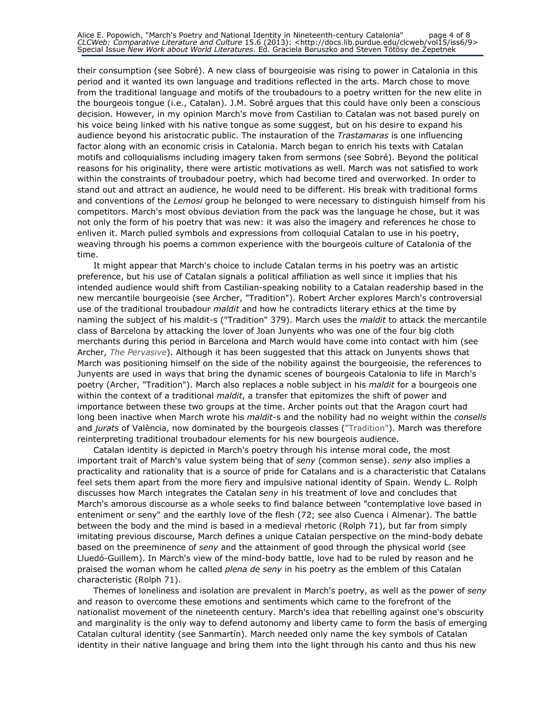their consumption (see Sobré). A new class of bourgeoisie was rising to power in Catalonia in this period and it wanted its own language and traditions reflected in the arts. March chose to move from the traditional language and motifs of the troubadours to a poetry written for the new elite in the bourgeois tongue (i.e., Catalan). J.M. Sobré argues that this could have only been a conscious decision. However, in my opinion March's move from Castilian to Catalan was not based purely on his voice being linked with his native tongue as some suggest, but on his desire to expand his audience beyond his aristocratic public. The instauration of the Trastamaras is one influencing factor along with an economic crisis in Catalonia. March began to enrich his texts with Catalan motifs and colloquialisms including imagery taken from sermons (see Sobré). Beyond the political reasons for his originality, there were artistic motivations as well. March was not satisfied to work within the constraints of troubadour poetry, which had become tired and overworked. In order to stand out and attract an audience, he would need to be different. His break with traditional forms and conventions of the Lemosi group he belonged to were necessary to distinguish himself from his competitors. March's most obvious deviation from the pack was the language he chose, but it was not only the form of his poetry that was new: it was also the imagery and references he chose to enliven it. March pulled symbols and expressions from colloquial Catalan to use in his poetry, weaving through his poems a common experience with the bourgeois culture of Catalonia of the time.

It might appear that March's choice to include Catalan terms in his poetry was an artistic preference, but his use of Catalan signals a political affiliation as well since it implies that his intended audience would shift from Castilian-speaking nobility to a Catalan readership based in the new mercantile bourgeoisie (see Archer, "Tradition"). Robert Archer explores March's controversial use of the traditional troubadour *maldit* and how he contradicts literary ethics at the time by naming the subject of his maldit-s ("Tradition" 379). March uses the *maldit* to attack the mercantile class of Barcelona by attacking the lover of Joan Junyents who was one of the four big cloth merchants during this period in Barcelona and March would have come into contact with him (see Archer, The Pervasive). Although it has been suggested that this attack on Junyents shows that March was positioning himself on the side of the nobility against the bourgeoisie, the references to Junyents are used in ways that bring the dynamic scenes of bourgeois Catalonia to life in March's poetry (Archer, "Tradition"). March also replaces a noble subject in his *maldit* for a bourgeois one within the context of a traditional *maldit*, a transfer that epitomizes the shift of power and importance between these two groups at the time. Archer points out that the Aragon court had long been inactive when March wrote his maldit-s and the nobility had no weight within the consells and *jurats* of València, now dominated by the bourgeois classes ("Tradition"). March was therefore reinterpreting traditional troubadour elements for his new bourgeois audience.

Catalan identity is depicted in March's poetry through his intense moral code, the most important trait of March's value system being that of seny (common sense). seny also implies a practicality and rationality that is a source of pride for Catalans and is a characteristic that Catalans feel sets them apart from the more fiery and impulsive national identity of Spain. Wendy L. Rolph discusses how March integrates the Catalan seny in his treatment of love and concludes that March's amorous discourse as a whole seeks to find balance between "contemplative love based in enteniment or seny" and the earthly love of the flesh (72; see also Cuenca i Almenar). The battle between the body and the mind is based in a medieval rhetoric (Rolph 71), but far from simply imitating previous discourse, March defines a unique Catalan perspective on the mind-body debate based on the preeminence of seny and the attainment of good through the physical world (see Lluedó-Guillem). In March's view of the mind-body battle, love had to be ruled by reason and he praised the woman whom he called *plena de seny* in his poetry as the emblem of this Catalan characteristic (Rolph 71).

Themes of loneliness and isolation are prevalent in March's poetry, as well as the power of seny and reason to overcome these emotions and sentiments which came to the forefront of the nationalist movement of the nineteenth century. March's idea that rebelling against one's obscurity and marginality is the only way to defend autonomy and liberty came to form the basis of emerging Catalan cultural identity (see Sanmartín). March needed only name the key symbols of Catalan identity in their native language and bring them into the light through his canto and thus his new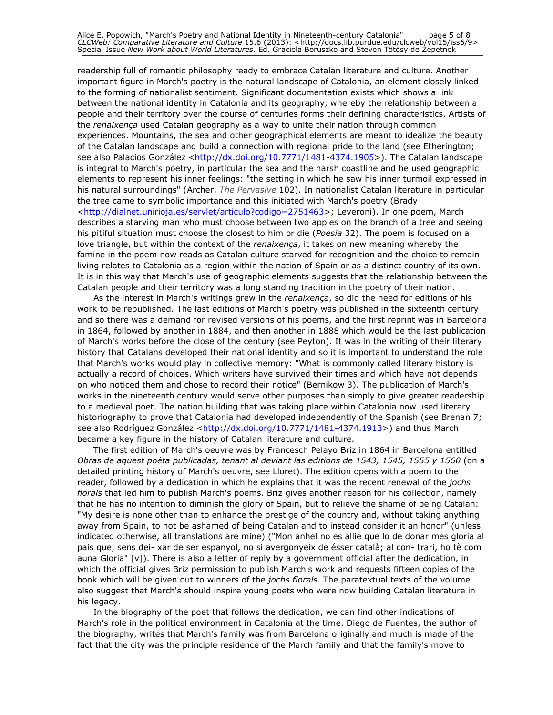Alice E. Popowich, "March's Poetry and National Identity in Nineteenth-century Catalonia" page 5 of 8 CLCWeb: Comparative Literature and Culture 15.6 (2013): <http://docs.lib.purdue.edu/clcweb/vol15/iss6/9> Special Issue New Work about World Literatures. Ed. Graciela Boruszko and Steven Tötösy de Zepetnek

readership full of romantic philosophy ready to embrace Catalan literature and culture. Another important figure in March's poetry is the natural landscape of Catalonia, an element closely linked to the forming of nationalist sentiment. Significant documentation exists which shows a link between the national identity in Catalonia and its geography, whereby the relationship between a people and their territory over the course of centuries forms their defining characteristics. Artists of the renaixença used Catalan geography as a way to unite their nation through common experiences. Mountains, the sea and other geographical elements are meant to idealize the beauty of the Catalan landscape and build a connection with regional pride to the land (see Etherington; see also Palacios González <http://dx.doi.org/10.7771/1481-4374.1905>). The Catalan landscape is integral to March's poetry, in particular the sea and the harsh coastline and he used geographic elements to represent his inner feelings: "the setting in which he saw his inner turmoil expressed in his natural surroundings" (Archer, The Pervasive 102). In nationalist Catalan literature in particular the tree came to symbolic importance and this initiated with March's poetry (Brady <http://dialnet.unirioja.es/servlet/articulo?codigo=2751463>; Leveroni). In one poem, March describes a starving man who must choose between two apples on the branch of a tree and seeing his pitiful situation must choose the closest to him or die (Poesia 32). The poem is focused on a love triangle, but within the context of the *renaixença*, it takes on new meaning whereby the famine in the poem now reads as Catalan culture starved for recognition and the choice to remain living relates to Catalonia as a region within the nation of Spain or as a distinct country of its own. It is in this way that March's use of geographic elements suggests that the relationship between the Catalan people and their territory was a long standing tradition in the poetry of their nation.

As the interest in March's writings grew in the renaixença, so did the need for editions of his work to be republished. The last editions of March's poetry was published in the sixteenth century and so there was a demand for revised versions of his poems, and the first reprint was in Barcelona in 1864, followed by another in 1884, and then another in 1888 which would be the last publication of March's works before the close of the century (see Peyton). It was in the writing of their literary history that Catalans developed their national identity and so it is important to understand the role that March's works would play in collective memory: "What is commonly called literary history is actually a record of choices. Which writers have survived their times and which have not depends on who noticed them and chose to record their notice" (Bernikow 3). The publication of March's works in the nineteenth century would serve other purposes than simply to give greater readership to a medieval poet. The nation building that was taking place within Catalonia now used literary historiography to prove that Catalonia had developed independently of the Spanish (see Brenan 7; see also Rodríguez González <http://dx.doi.org/10.7771/1481-4374.1913>) and thus March became a key figure in the history of Catalan literature and culture.

The first edition of March's oeuvre was by Francesch Pelayo Briz in 1864 in Barcelona entitled Obras de aquest poéta publicadas, tenant al deviant las editions de 1543, 1545, 1555 y 1560 (on a detailed printing history of March's oeuvre, see Lloret). The edition opens with a poem to the reader, followed by a dedication in which he explains that it was the recent renewal of the jochs florals that led him to publish March's poems. Briz gives another reason for his collection, namely that he has no intention to diminish the glory of Spain, but to relieve the shame of being Catalan: "My desire is none other than to enhance the prestige of the country and, without taking anything away from Spain, to not be ashamed of being Catalan and to instead consider it an honor" (unless indicated otherwise, all translations are mine) ("Mon anhel no es allie que lo de donar mes gloria al pais que, sens dei- xar de ser espanyol, no si avergonyeix de ésser català; al con- trari, ho tè com auna Gloria" [v]). There is also a letter of reply by a government official after the dedication, in which the official gives Briz permission to publish March's work and requests fifteen copies of the book which will be given out to winners of the jochs florals. The paratextual texts of the volume also suggest that March's should inspire young poets who were now building Catalan literature in his legacy.

In the biography of the poet that follows the dedication, we can find other indications of March's role in the political environment in Catalonia at the time. Diego de Fuentes, the author of the biography, writes that March's family was from Barcelona originally and much is made of the fact that the city was the principle residence of the March family and that the family's move to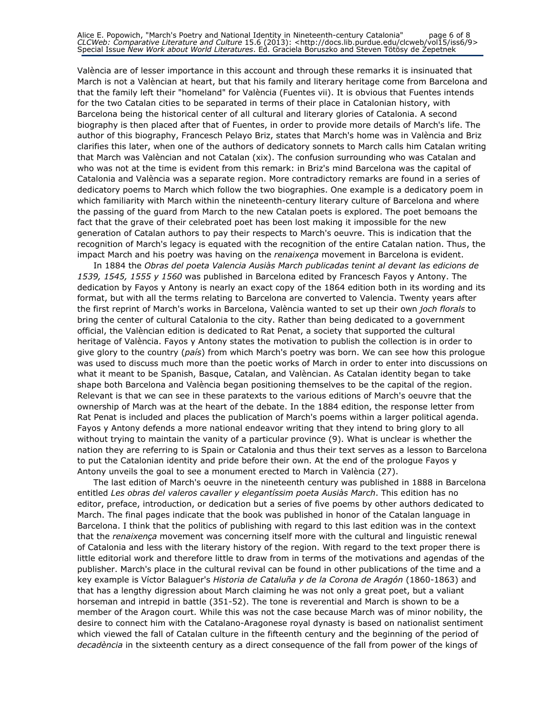Alice E. Popowich, "March's Poetry and National Identity in Nineteenth-century Catalonia" page 6 of 8 CLCWeb: Comparative Literature and Culture 15.6 (2013): <http://docs.lib.purdue.edu/clcweb/vol15/iss6/9> Special Issue New Work about World Literatures. Ed. Graciela Boruszko and Steven Tötösy de Zepetnek

València are of lesser importance in this account and through these remarks it is insinuated that March is not a Valèncian at heart, but that his family and literary heritage come from Barcelona and that the family left their "homeland" for València (Fuentes vii). It is obvious that Fuentes intends for the two Catalan cities to be separated in terms of their place in Catalonian history, with Barcelona being the historical center of all cultural and literary glories of Catalonia. A second biography is then placed after that of Fuentes, in order to provide more details of March's life. The author of this biography, Francesch Pelayo Briz, states that March's home was in València and Briz clarifies this later, when one of the authors of dedicatory sonnets to March calls him Catalan writing that March was Valèncian and not Catalan (xix). The confusion surrounding who was Catalan and who was not at the time is evident from this remark: in Briz's mind Barcelona was the capital of Catalonia and València was a separate region. More contradictory remarks are found in a series of dedicatory poems to March which follow the two biographies. One example is a dedicatory poem in which familiarity with March within the nineteenth-century literary culture of Barcelona and where the passing of the guard from March to the new Catalan poets is explored. The poet bemoans the fact that the grave of their celebrated poet has been lost making it impossible for the new generation of Catalan authors to pay their respects to March's oeuvre. This is indication that the recognition of March's legacy is equated with the recognition of the entire Catalan nation. Thus, the impact March and his poetry was having on the *renaixença* movement in Barcelona is evident.

In 1884 the Obras del poeta Valencia Ausiàs March publicadas tenint al devant las edicions de 1539, 1545, 1555 y 1560 was published in Barcelona edited by Francesch Fayos y Antony. The dedication by Fayos y Antony is nearly an exact copy of the 1864 edition both in its wording and its format, but with all the terms relating to Barcelona are converted to Valencia. Twenty years after the first reprint of March's works in Barcelona, València wanted to set up their own joch florals to bring the center of cultural Catalonia to the city. Rather than being dedicated to a government official, the Valèncian edition is dedicated to Rat Penat, a society that supported the cultural heritage of València. Fayos y Antony states the motivation to publish the collection is in order to give glory to the country (país) from which March's poetry was born. We can see how this prologue was used to discuss much more than the poetic works of March in order to enter into discussions on what it meant to be Spanish, Basque, Catalan, and Valèncian. As Catalan identity began to take shape both Barcelona and València began positioning themselves to be the capital of the region. Relevant is that we can see in these paratexts to the various editions of March's oeuvre that the ownership of March was at the heart of the debate. In the 1884 edition, the response letter from Rat Penat is included and places the publication of March's poems within a larger political agenda. Fayos y Antony defends a more national endeavor writing that they intend to bring glory to all without trying to maintain the vanity of a particular province (9). What is unclear is whether the nation they are referring to is Spain or Catalonia and thus their text serves as a lesson to Barcelona to put the Catalonian identity and pride before their own. At the end of the prologue Fayos y Antony unveils the goal to see a monument erected to March in València (27).

The last edition of March's oeuvre in the nineteenth century was published in 1888 in Barcelona entitled Les obras del valeros cavaller y elegantíssim poeta Ausiàs March. This edition has no editor, preface, introduction, or dedication but a series of five poems by other authors dedicated to March. The final pages indicate that the book was published in honor of the Catalan language in Barcelona. I think that the politics of publishing with regard to this last edition was in the context that the renaixença movement was concerning itself more with the cultural and linguistic renewal of Catalonia and less with the literary history of the region. With regard to the text proper there is little editorial work and therefore little to draw from in terms of the motivations and agendas of the publisher. March's place in the cultural revival can be found in other publications of the time and a key example is Víctor Balaguer's Historia de Cataluña y de la Corona de Aragón (1860-1863) and that has a lengthy digression about March claiming he was not only a great poet, but a valiant horseman and intrepid in battle (351-52). The tone is reverential and March is shown to be a member of the Aragon court. While this was not the case because March was of minor nobility, the desire to connect him with the Catalano-Aragonese royal dynasty is based on nationalist sentiment which viewed the fall of Catalan culture in the fifteenth century and the beginning of the period of decadència in the sixteenth century as a direct consequence of the fall from power of the kings of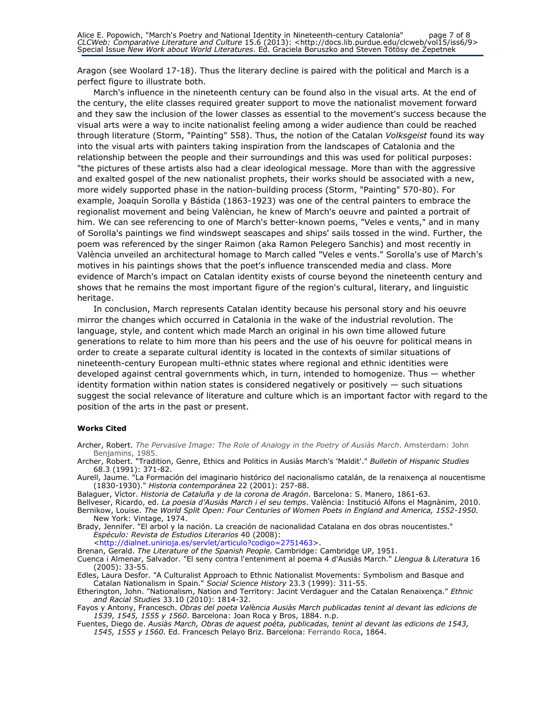Aragon (see Woolard 17-18). Thus the literary decline is paired with the political and March is a perfect figure to illustrate both.

March's influence in the nineteenth century can be found also in the visual arts. At the end of the century, the elite classes required greater support to move the nationalist movement forward and they saw the inclusion of the lower classes as essential to the movement's success because the visual arts were a way to incite nationalist feeling among a wider audience than could be reached through literature (Storm, "Painting" 558). Thus, the notion of the Catalan Volksgeist found its way into the visual arts with painters taking inspiration from the landscapes of Catalonia and the relationship between the people and their surroundings and this was used for political purposes: "the pictures of these artists also had a clear ideological message. More than with the aggressive and exalted gospel of the new nationalist prophets, their works should be associated with a new, more widely supported phase in the nation-building process (Storm, "Painting" 570-80). For example, Joaquín Sorolla y Bástida (1863-1923) was one of the central painters to embrace the regionalist movement and being Valèncian, he knew of March's oeuvre and painted a portrait of him. We can see referencing to one of March's better-known poems, "Veles e vents," and in many of Sorolla's paintings we find windswept seascapes and ships' sails tossed in the wind. Further, the poem was referenced by the singer Raimon (aka Ramon Pelegero Sanchis) and most recently in València unveiled an architectural homage to March called "Veles e vents." Sorolla's use of March's motives in his paintings shows that the poet's influence transcended media and class. More evidence of March's impact on Catalan identity exists of course beyond the nineteenth century and shows that he remains the most important figure of the region's cultural, literary, and linguistic heritage.

In conclusion, March represents Catalan identity because his personal story and his oeuvre mirror the changes which occurred in Catalonia in the wake of the industrial revolution. The language, style, and content which made March an original in his own time allowed future generations to relate to him more than his peers and the use of his oeuvre for political means in order to create a separate cultural identity is located in the contexts of similar situations of nineteenth-century European multi-ethnic states where regional and ethnic identities were developed against central governments which, in turn, intended to homogenize. Thus — whether identity formation within nation states is considered negatively or positively — such situations suggest the social relevance of literature and culture which is an important factor with regard to the position of the arts in the past or present.

#### Works Cited

Archer, Robert. The Pervasive Image: The Role of Analogy in the Poetry of Ausiàs March. Amsterdam: John Benjamins, 1985.

Archer, Robert. "Tradition, Genre, Ethics and Politics in Ausiàs March's 'Maldit'." *Bulletin of Hispanic Studies* 68.3 (1991): 371-82.

Aurell, Jaume. "La Formación del imaginario histórico del nacionalismo catalán, de la renaixença al noucentisme (1830-1930)." Historia contemporánea 22 (2001): 257-88.

Balaguer, Víctor. Historia de Cataluña y de la corona de Aragón. Barcelona: S. Manero, 1861-63.

Bellveser, Ricardo, ed. La poesia d'Ausiàs March i el seu temps. València: Institució Alfons el Magnànim, 2010. Bernikow, Louise. The World Split Open: Four Centuries of Women Poets in England and America, 1552-1950. New York: Vintage, 1974.

Brady, Jennifer. "El arbol y la nación. La creación de nacionalidad Catalana en dos obras noucentistes." Espéculo: Revista de Estudios Literarios 40 (2008):

<http://dialnet.unirioja.es/servlet/articulo?codigo=2751463>.

Brenan, Gerald. The Literature of the Spanish People. Cambridge: Cambridge UP, 1951.

Cuenca i Almenar, Salvador. "El seny contra l'enteniment al poema 4 d'Ausiàs March." Llengua & Literatura 16 (2005): 33-55.

Edles, Laura Desfor. "A Culturalist Approach to Ethnic Nationalist Movements: Symbolism and Basque and Catalan Nationalism in Spain." Social Science History 23.3 (1999): 311-55.

Etherington, John. "Nationalism, Nation and Territory: Jacint Verdaguer and the Catalan Renaixença." Ethnic and Racial Studies 33.10 (2010): 1814-32.

Fayos y Antony, Francesch. Obras del poeta València Ausiàs March publicadas tenint al devant las edicions de 1539, 1545, 1555 y 1560. Barcelona: Joan Roca y Bros, 1884. n.p.

Fuentes, Diego de. Ausiàs March, Obras de aquest poéta, publicadas, tenint al devant las edicions de 1543, 1545, 1555 y 1560. Ed. Francesch Pelayo Briz. Barcelona: Ferrando Roca, 1864.